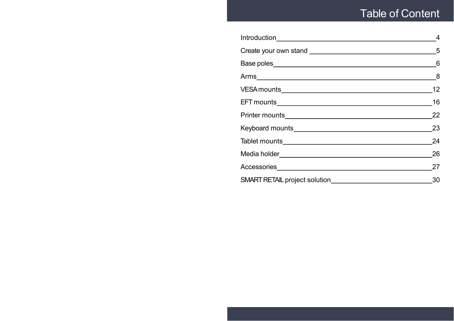# Table of Content

| 4  |
|----|
|    |
|    |
|    |
| 12 |
| 16 |
| 22 |
| 23 |
| 24 |
| 26 |
| 27 |
| 30 |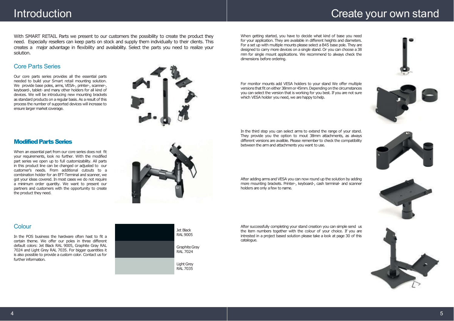# Introduction Create your own stand

With SMART RETAIL Parts we present to our customers the possibility to create the product they need. Especially resellers can keep parts on stock and supply them individually to their clients. This creates a major advantage in flexibility and availability. Select the parts you need to realize your solution.

### Core Parts Series

Our core parts series provides all the essential parts needed to build your Smart retail mounting solution. We provide base poles, arms, VESA-, printer-, scanner-, keyboard-, tablet- and many other holders for all kind of devices. We will be introducing new mounting brackets as standard products on aregularbasis.As aresult of this process the number of supported devices will increase to ensure larger market coverage.



### **Modified Parts Series**

When an essential part from our core series does not fit your requirements, look no further. With the modified part series we open up to full customizability. All parts in this product line can be changed or adjusted to our customer's needs. From additional cutouts to a combination holder for an EFT-Terminal and scanner, we got your ideas covered. In most cases we do not require a minimum order quantity. We want to present our partners and customers with the opportunity to create the product they need.



### Colour

In the POS business the hardware often hast to fit a certain theme. We offer our poles in three different default colors: Jet Black RAL 9005, Graphite Gray RAL 7024 and Light Grey RAL 7035. For bigger quantities it is also possible to provide a custom color. Contact us for further information.



When getting started, you have to decide what kind of base you need for your application. They are available in different heights and diameters. For a set up with multiple mounts please select a B45 base pole. They are designed to carry more devices on a single stand. Or you can choose a38 mm for single mount applications. We recommend to always check the dimensions before ordering.

For monitor mounts add VESA holders to your stand We offer multiple versions that fit on either 38mm or 45mm. Depending on the circumstances you can select the version that is working for you best. If you are not sure which VESA holder you need, we are happy to help.

In the third step you can select arms to extend the range of your stand. They provide you the option to mout 38mm attachments, as always different versions are avalible. Please remember to check the compatibility between the armand attachments you want to use.



After adding arms and VESA you can now round up the solution by adding more mounting brackets. Printer-, keyboard-, cash terminal- and scanner holders are only a few to name.

After successfully completing your stand creation you can simple send us the item numbers together with the colour of your choice. If you are intrested in a project based solution please take a look at page 30 of this catalogue.



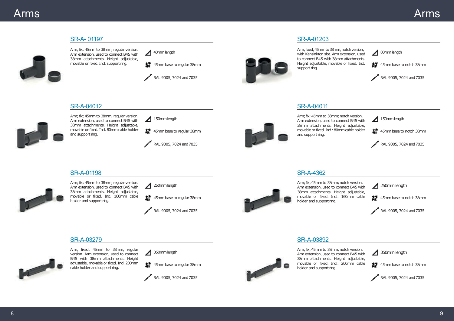

B45 with 38mm attachments. Height adjustable, movable or fixed. Ind. 200mm cable holder and support ring.

**整** 45mm base to regular 38mm



38mm attachments. Height adjustable, movable or fixed. Ind.: 200mm cable holder and support ring.

 $\triangleright$ 

畫 45mm base to notch 38mm

RAL 9005, 7024 and7035

8 9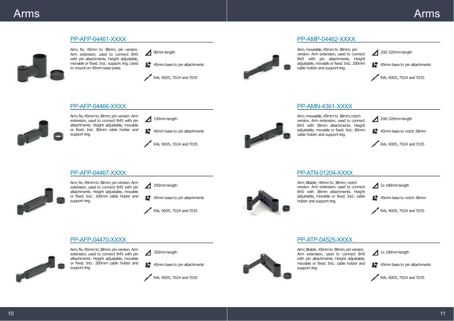

### PP-AFP-04470-XXXX



Arm; fix; 45mm to 38mm; pin version. Arm extension, used to connect B45 with pin attachments. Height adjustable, movable or fixed. Ind.: 200mm cable holder and support ring.

 $350$ mm length

**整** 45mm base to pin attachments





Arm; tiltable; 45mm to 38mm; pin version. Arm extension, used to connect B45 with pin attachments. Height adjustable, movable or fixed. Ind.: cable holder and support ring.

PP-ATP-04525-XXXX

 $2x 180$ mm length

畫 45mm base to pin attachments

RAL 9005, 7024 and7035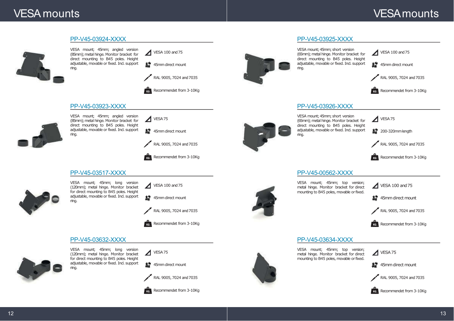# VESA mounts

# VESAmounts

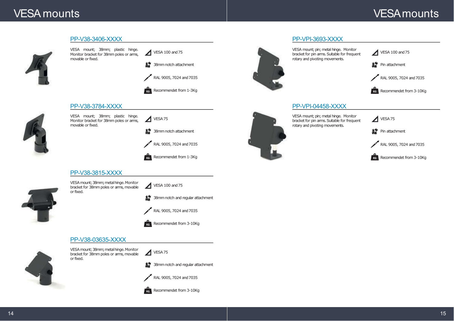# VESA mounts

# VESAmounts

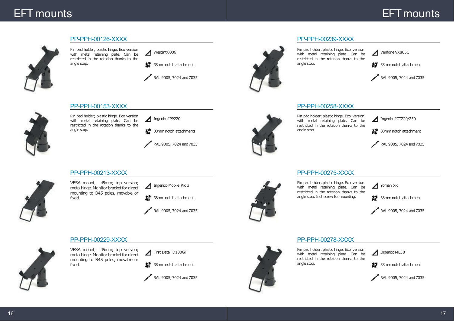## EFT mounts

# **EFT** mounts



#### PP-PPH-00126-XXXX

Pin pad holder; plastic hinge. Eco version with metal retaining plate. Can be restricted in the rotation thanks to the angle stop.



52 38mm notch attachments

RAL 9005, 7024 and 7035



#### PP-PPH-00239-XXXX

Pin pad holder; plastic hinge. Eco version with metal retaining plate. Can be restricted in the rotation thanks to the angle stop.

Verifone VX805C

38mm notch attachment



#### PP-PPH-00258-XXXX



Pin pad holder; plastic hinge. Eco version with metal retaining plate. Can be restricted in the rotation thanks to the angle stop.

Ingenico ICT220/250

整 38mm notch attachment

RAL 9005, 7024 and 7035



PP-PPH-00153-XXXX

Pin pad holder; plastic hinge. Eco version with metal retaining plate. Can be restricted in the rotation thanks to the angle stop.

Ingenico IPP220

5. 38mm notch attachments

RAL 9005, 7024 and7035





VESA mount; 45mm; top version; metal hinge. Monitor bracket for direct mounting to B45 poles, movable or fixed.



52 38mm notch attachments



### PP-PPH-00229-XXXX



VESA mount; 45mm; top version; metal hinge. Monitor bracket for direct mounting to B45 poles, movable or fixed.

First Data FD100GT

**整** 38mm notch attachments





### PP-PPH-00278-XXXX

PP-PPH-00275-XXXX

Pin pad holder; plastic hinge. Eco version with metal retaining plate. Can be restricted in the rotation thanks to the angle stop. Ind. screw for mounting.

Pin pad holder; plastic hinge. Eco version with metal retaining plate. Can be restricted in the rotation thanks to the angle stop.

Ingenico ML30



RAL 9005, 7024 and 7035

RAL 9005, 7024 and 7035

38mm notch attachment

Yomani XR



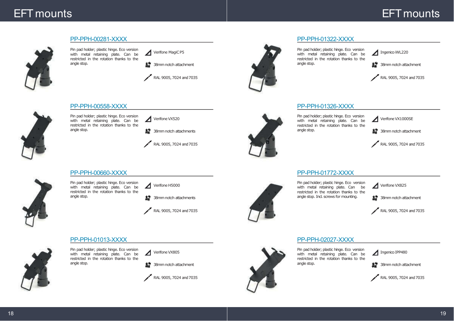# EFT mounts

# **EFT** mounts



### PP-PPH-00281-XXXX

Pin pad holder; plastic hinge. Eco version with metal retaining plate. Can be restricted in the rotation thanks to the angle stop.



38mm notch attachment

RAL 9005, 7024 and 7035



#### PP-PPH-01322-XXXX

Pin pad holder; plastic hinge. Eco version with metal retaining plate. Can be restricted in the rotation thanks to the angle stop.

Ingenico iWL220

38mm notch attachment



### PP-PPH-01326-XXXX



Pin pad holder; plastic hinge. Eco version with metal retaining plate. Can be restricted in the rotation thanks to the angle stop.

Verifone VX1000SE

5. 38mm notch attachment

RAL 9005, 7024 and 7035

### PP-PPH-01772-XXXX



angle stop. Ind. screws for mounting.

Verifone VX825

甚至 38mm notch attachment

RAL 9005, 7024 and 7035



### PP-PPH-00660-XXXX

PP-PPH-00558-XXXX

angle stop.

Pin pad holder; plastic hinge. Eco version with metal retaining plate. Can be restricted in the rotation thanks to the

Pin pad holder; plastic hinge. Eco version with metal retaining plate. Can be restricted in the rotation thanks to the angle stop.

Verifone VX520

5. 38mm notch attachments

RAL 9005, 7024 and7035

38mm notch attachments

RAL 9005, 7024 and 7035



# PP-PPH-02027-XXXX

Pin pad holder; plastic hinge. Eco version with metal retaining plate. Can be restricted in the rotation thanks to the angle stop.

Ingenico IPP480



RAL 9005, 7024 and 7035



### PP-PPH-01013-XXXX

Pin pad holder; plastic hinge. Eco version with metal retaining plate. Can be restricted in the rotation thanks to the angle stop.

Verifone VX805





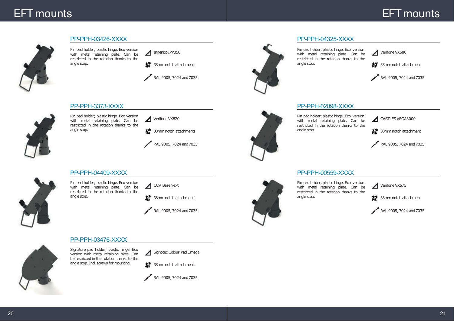# EFT mounts

# **EFT** mounts



#### PP-PPH-03426-XXXX

Pin pad holder; plastic hinge. Eco version with metal retaining plate. Can be restricted in the rotation thanks to the angle stop.



**整** 38mm notch attachment

RAL 9005, 7024 and 7035

#### PP-PPH-3373-XXXX



Pin pad holder; plastic hinge. Eco version with metal retaining plate. Can be restricted in the rotation thanks to the angle stop.

Verifone VX820

5. 38mm notch attachments

RAL 9005, 7024 and7035

#### PP-PPH-04409-XXXX



Pin pad holder; plastic hinge. Eco version with metal retaining plate. Can be restricted in the rotation thanks to the angle stop.

CCV BaseNext

**整**38mm notch attachments

RAL 9005, 7024 and 7035

#### PP-PPH-03476-XXXX

Signature pad holder; plastic hinge. Eco version with metal retaining plate. Can be restricted in the rotation thanks to the angle stop. Incl. screws for mounting.

Signotec Colour Pad Omega







#### PP-PPH-04325-XXXX

Pin pad holder; plastic hinge. Eco version with metal retaining plate. Can be restricted in the rotation thanks to the angle stop.



38mm notch attachment



### PP-PPH-02098-XXXX



Pin pad holder; plastic hinge. Eco version with metal retaining plate. Can be restricted in the rotation thanks to the angle stop.

CASTLES VEGA3000

整 38mm notch attachment

RAL 9005, 7024 and 7035

#### PP-PPH-00559-XXXX



Pin pad holder; plastic hinge. Eco version with metal retaining plate. Can be restricted in the rotation thanks to the angle stop.

Verifone VX675

38mm notch attachment



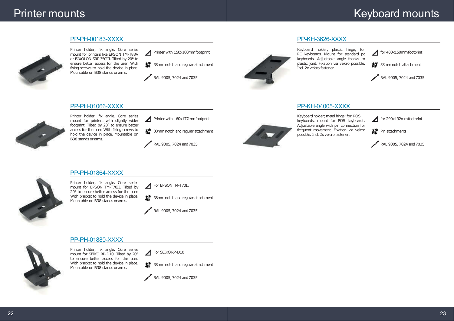## Printer mounts

# Keyboard mounts



PP-PH-00183-XXXX

Printer holder; fix angle. Core series mount for printers like EPSON TM-T88V or BIXOLON SRP-350III. Tilted by 20° to ensure better access for the user. With fixing screws to hold the device in place. Mountable on B38 stands orarms.

Printer with 150x180mmfootprint

52 38mm notch and regular attachment

RAL 9005, 7024 and 7035



Keyboard holder; plastic hinge; for PC keyboards. Mount for standard pc keyboards. Adjustable angle thanks to plastic joint. Fixation via velcro possible. Incl. 2x velcro fastener.

for 400x150mm footprint

塞尔 38mm notch attachment

RAL 9005, 7024 and 7035

### PP-KH-04005-XXXX

PP-KH-3626-XXXX



Keyboard holder; metal hinge; for POS keyboards. mount for POS keyboards. Adjustable angle with pin connection for frequent movement. Fixation via velcro possible. Ind. 2x velcro fastener.

for 290x192mmfootprint

**整** Pin attachments





Printer holder; fix angle. Core series mount for printers with slightly wider footprint. Tilted by 20° to ensure better access for the user. With fixing screws to hold the device in place. Mountable on B38 stands or arms.

Printer with 160x177mmfootprint

**整** 38mm notch and regular attachment

RAL 9005, 7024 and 7035



Printer holder; fix angle. Core series mount for EPSON TM-T70II. Tilted by 20° to ensure better access for the user. With bracket to hold the device in place. Mountable on B38 stands orarms.

For EPSON TM-T70II

 $\mathbf{B}^*$  38mm notch and regular attachment



### PP-PH-01880-XXXX

Printer holder; fix angle. Core series mount for SEIKO RP-D10. Tilted by 20° to ensure better access for the user. With bracket to hold the device in place. Mountable on B38 stands orarms.

For SEIKORP-D10

52 38mm notch and regular attachment





22 день и процесс в союз в союз в союз в союз в союз в союз в союз в союз в союз в союз в союз в союз в союз в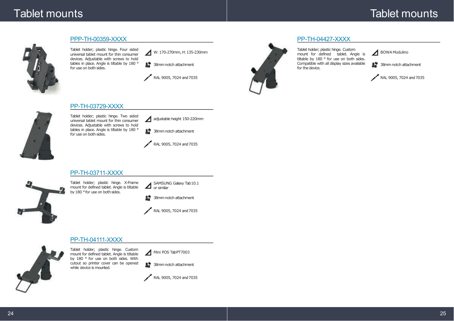# Tablet mounts

# Tablet mounts



#### PPP-TH-00359-XXXX

Tablet holder; plastic hinge. Four sided universal tablet mount for thin consumer devices. Adjustable with screws to hold tables in place. Angle is tiltable by 180 ° for use on both sides.

W: 170-270mm, H: 135-230mm

**基** 38mm notch attachment

RAL 9005, 7024 and 7035



### PP-TH-04427-XXXX

Tablet holder; plastic hinge. Custom mount for defined tablet. Angle is tiltable by 180 ° for use on both sides. Compatible with all display sizes available for the device.

BOWA Modulino

52 38mm notch attachment

RAL 9005, 7024 and 7035



Tablet holder; plastic hinge. Two sided universal tablet mount for thin consumer

devices. Adjustable with screws to hold tables in place. Angle is tiltable by 180 °

PP-TH-03729-XXXX

for use on both sides.

adjustable height 150-220mm

**整** 38mm notch attachment

RAL 9005, 7024 and7035

### PP-TH-03711-XXXX



Tablet holder; plastic hinge. X-Frame mount for defined tablet. Angle is tiltable by 180 ° for use on both sides.

SAMSUNG Galaxy Tab10.1 or similar





### PP-TH-04111-XXXX



Tablet holder; plastic hinge. Custom mount for defined tablet. Angle is tiltable by 180 ° for use on both sides. With cutout so printer cover can be opened while device is mounted.

Mini POS TabPT7003

**基** 38mm notch attachment

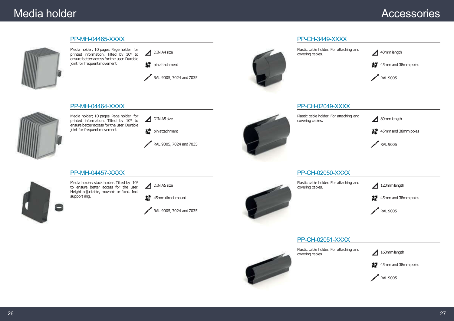# Media holder

# Accessories



Media holder; 10 pages. Page holder for printed information. Tilted by 10° to ensure better access for the user. Durable joint for frequent movement.

PP-MH-04465-XXXX



 $\mathbf{L}^*$  pin attachment

RAL 9005, 7024 and 7035

### PP-MH-04464-XXXX



Media holder; 10 pages. Page holder for printed information. Tilted by 10° to ensure better access for the user. Durable joint for frequent movement.

整 pin attachment DIN A5 size

RAL 9005, 7024 and 7035

### PP-MH-04457-XXXX



Media holder; stack holder. Tilted by 10° to ensure better access for the user. Height adjustable, movable or fixed. Ind. support ring.



 $\mathbf{L}^*$  45mm direct mount

RAL 9005, 7024 and 7035



Plastic cable holder. For attaching and covering cables.

PP-CH-3449-XXXX

40mmlength

整 45mm and 38mm poles

RAL 9005

### PP-CH-02049-XXXX

Plastic cable holder. For attaching and covering cables.

80mm length

签 45mm and 38mm poles

RAL 9005

### PP-CH-02050-XXXX

Plastic cable holder. For attaching and covering cables.

120mm length

45mm and 38mm poles

RAL 9005

### PP-CH-02051-XXXX

Plastic cable holder. For attaching and covering cables.

160mmlength



RAL 9005